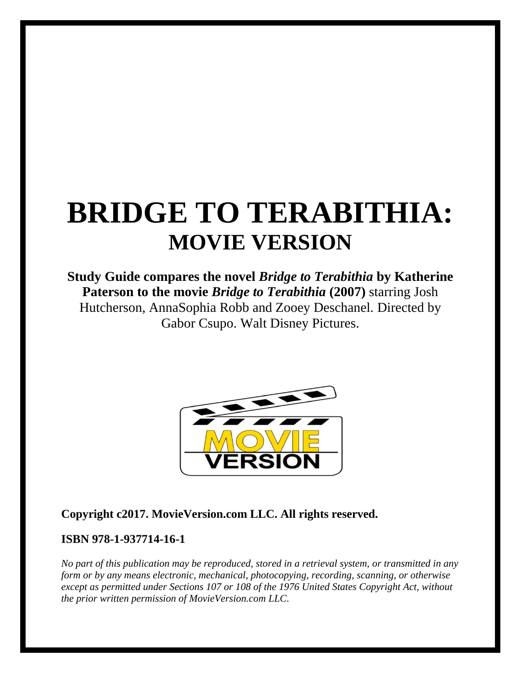# **BRIDGE TO TERABITHIA: MOVIE VERSION**

# **Study Guide compares the novel** *Bridge to Terabithia* **by Katherine Paterson to the movie** *Bridge to Terabithia* **(2007)** starring Josh Hutcherson, AnnaSophia Robb and Zooey Deschanel. Directed by Gabor Csupo. Walt Disney Pictures.



# **Copyright c2017. MovieVersion.com LLC. All rights reserved.**

#### **ISBN 978-1-937714-16-1**

*No part of this publication may be reproduced, stored in a retrieval system, or transmitted in any form or by any means electronic, mechanical, photocopying, recording, scanning, or otherwise except as permitted under Sections 107 or 108 of the 1976 United States Copyright Act, without the prior written permission of MovieVersion.com LLC.*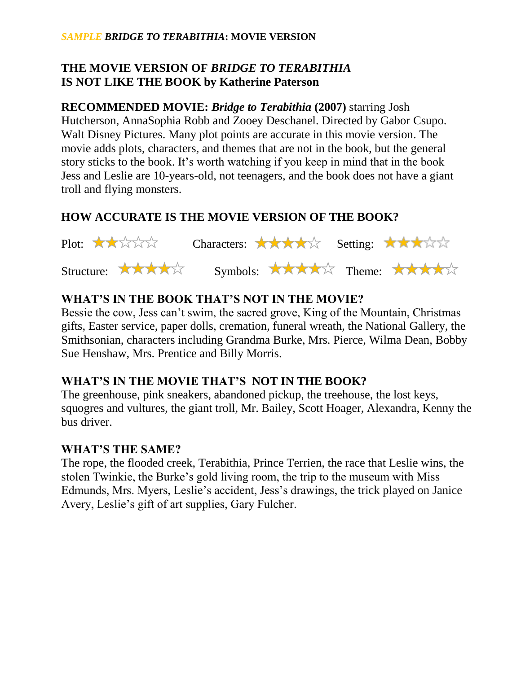#### *SAMPLE BRIDGE TO TERABITHIA***: MOVIE VERSION**

# **THE MOVIE VERSION OF** *BRIDGE TO TERABITHIA* **IS NOT LIKE THE BOOK by Katherine Paterson**

**RECOMMENDED MOVIE:** *Bridge to Terabithia* **(2007)** starring Josh Hutcherson, AnnaSophia Robb and Zooey Deschanel. Directed by Gabor Csupo. Walt Disney Pictures. Many plot points are accurate in this movie version. The movie adds plots, characters, and themes that are not in the book, but the general story sticks to the book. It's worth watching if you keep in mind that in the book Jess and Leslie are 10-years-old, not teenagers, and the book does not have a giant troll and flying monsters.

# **HOW ACCURATE IS THE MOVIE VERSION OF THE BOOK?**



# **WHAT'S IN THE BOOK THAT'S NOT IN THE MOVIE?**

Bessie the cow, Jess can't swim, the sacred grove, King of the Mountain, Christmas gifts, Easter service, paper dolls, cremation, funeral wreath, the National Gallery, the Smithsonian, characters including Grandma Burke, Mrs. Pierce, Wilma Dean, Bobby Sue Henshaw, Mrs. Prentice and Billy Morris.

# **WHAT'S IN THE MOVIE THAT'S NOT IN THE BOOK?**

The greenhouse, pink sneakers, abandoned pickup, the treehouse, the lost keys, squogres and vultures, the giant troll, Mr. Bailey, Scott Hoager, Alexandra, Kenny the bus driver.

#### **WHAT'S THE SAME?**

The rope, the flooded creek, Terabithia, Prince Terrien, the race that Leslie wins, the stolen Twinkie, the Burke's gold living room, the trip to the museum with Miss Edmunds, Mrs. Myers, Leslie's accident, Jess's drawings, the trick played on Janice Avery, Leslie's gift of art supplies, Gary Fulcher.